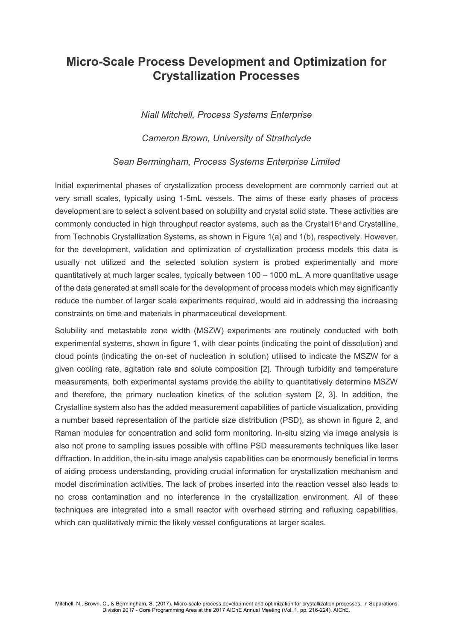## **Micro-Scale Process Development and Optimization for Crystallization Processes**

*Niall Mitchell, Process Systems Enterprise*

*Cameron Brown, University of Strathclyde*

## *Sean Bermingham, Process Systems Enterprise Limited*

Initial experimental phases of crystallization process development are commonly carried out at very small scales, typically using 1-5mL vessels. The aims of these early phases of process development are to select a solvent based on solubility and crystal solid state. These activities are commonly conducted in high throughput reactor systems, such as the Crystal16 ® and Crystalline, from Technobis Crystallization Systems, as shown in Figure 1(a) and 1(b), respectively. However, for the development, validation and optimization of crystallization process models this data is usually not utilized and the selected solution system is probed experimentally and more quantitatively at much larger scales, typically between 100 – 1000 mL. A more quantitative usage of the data generated at small scale for the development of process models which may significantly reduce the number of larger scale experiments required, would aid in addressing the increasing constraints on time and materials in pharmaceutical development.

Solubility and metastable zone width (MSZW) experiments are routinely conducted with both experimental systems, shown in figure 1, with clear points (indicating the point of dissolution) and cloud points (indicating the on-set of nucleation in solution) utilised to indicate the MSZW for a given cooling rate, agitation rate and solute composition [2]. Through turbidity and temperature measurements, both experimental systems provide the ability to quantitatively determine MSZW and therefore, the primary nucleation kinetics of the solution system [2, 3]. In addition, the Crystalline system also has the added measurement capabilities of particle visualization, providing a number based representation of the particle size distribution (PSD), as shown in figure 2, and Raman modules for concentration and solid form monitoring. In-situ sizing via image analysis is also not prone to sampling issues possible with offline PSD measurements techniques like laser diffraction. In addition, the in-situ image analysis capabilities can be enormously beneficial in terms of aiding process understanding, providing crucial information for crystallization mechanism and model discrimination activities. The lack of probes inserted into the reaction vessel also leads to no cross contamination and no interference in the crystallization environment. All of these techniques are integrated into a small reactor with overhead stirring and refluxing capabilities, which can qualitatively mimic the likely vessel configurations at larger scales.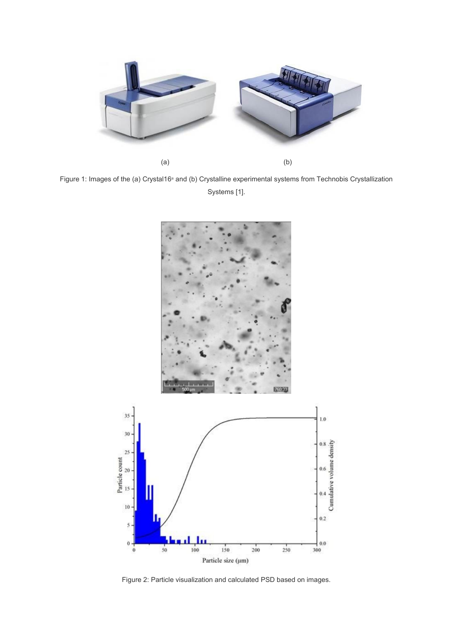

Figure 1: Images of the (a) Crystal16<sup>®</sup> and (b) Crystalline experimental systems from Technobis Crystallization Systems [1].



Figure 2: Particle visualization and calculated PSD based on images.